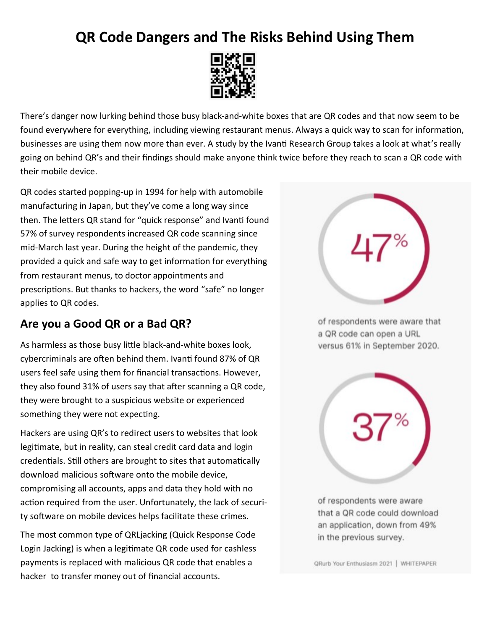## **QR Code Dangers and The Risks Behind Using Them**



There's danger now lurking behind those busy black-and-white boxes that are QR codes and that now seem to be found everywhere for everything, including viewing restaurant menus. Always a quick way to scan for information, businesses are using them now more than ever. A study by the Ivanti Research Group takes a look at what's really going on behind QR's and their findings should make anyone think twice before they reach to scan a QR code with their mobile device.

QR codes started popping-up in 1994 for help with automobile manufacturing in Japan, but they've come a long way since then. The letters QR stand for "quick response" and Ivanti found 57% of survey respondents increased QR code scanning since mid-March last year. During the height of the pandemic, they provided a quick and safe way to get information for everything from restaurant menus, to doctor appointments and prescriptions. But thanks to hackers, the word "safe" no longer applies to QR codes.

## **Are you a Good QR or a Bad QR?**

As harmless as those busy little black-and-white boxes look, cybercriminals are often behind them. Ivanti found 87% of QR users feel safe using them for financial transactions. However, they also found 31% of users say that after scanning a QR code, they were brought to a suspicious website or experienced something they were not expecting.

Hackers are using QR's to redirect users to websites that look legitimate, but in reality, can steal credit card data and login credentials. Still others are brought to sites that automatically download malicious software onto the mobile device, compromising all accounts, apps and data they hold with no action required from the user. Unfortunately, the lack of security software on mobile devices helps facilitate these crimes.

The most common type of QRLjacking (Quick Response Code Login Jacking) is when a legitimate QR code used for cashless payments is replaced with malicious QR code that enables a hacker to transfer money out of financial accounts.



of respondents were aware that a QR code can open a URL versus 61% in September 2020.



of respondents were aware that a QR code could download an application, down from 49% in the previous survey.

QRurb Your Enthusiasm 2021 | WHITEPAPER